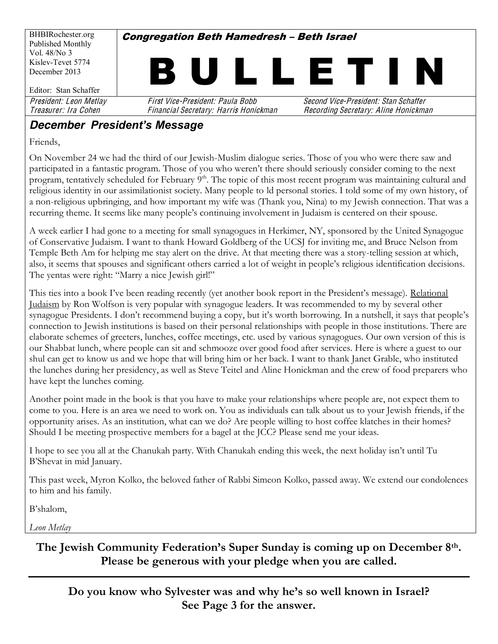BHBIRochester.org Published Monthly Vol. 48/No 3 Kislev-Tevet 5774 December 2013 Editor: Stan Schaffer **Congregation Beth Hamedresh - Beth Israel** I L L E T I I President: Leon Metlay First Vice-President: Paula Bobb Second Vice-President: Stan Schaffe<sup>r</sup> Treasurer: Ira Cohe<sup>n</sup> Financial Secretary: Harri<sup>s</sup> Honickman Recording Secretary: Alin<sup>e</sup> Honickman

#### **December President's Message**

Friends,

On November 24 we had the third of our Jewish-Muslim dialogue series. Those of you who were there saw and participated in a fantastic program. Those of you who weren't there should seriously consider coming to the next program, tentatively scheduled for February 9<sup>th</sup>. The topic of this most recent program was maintaining cultural and religious identity in our assimilationist society. Many people to ld personal stories. I told some of my own history, of a non-religious upbringing, and how important my wife was (Thank you, Nina) to my Jewish connection. That was a recurring theme. It seems like many people's continuing involvement in Judaism is centered on their spouse.

A week earlier I had gone to a meeting for small synagogues in Herkimer, NY, sponsored by the United Synagogue of Conservative Judaism. I want to thank Howard Goldberg of the UCSJ for inviting me, and Bruce Nelson from Temple Beth Am for helping me stay alert on the drive. At that meeting there was a story-telling session at which, also, it seems that spouses and significant others carried a lot of weight in people's religious identification decisions. The yentas were right: "Marry a nice Jewish girl!"

This ties into a book I've been reading recently (yet another book report in the President's message). Relational Judaism by Ron Wolfson is very popular with synagogue leaders. It was recommended to my by several other synagogue Presidents. I don't recommend buying a copy, but it's worth borrowing. In a nutshell, it says that people's connection to Jewish institutions is based on their personal relationships with people in those institutions. There are elaborate schemes of greeters, lunches, coffee meetings, etc. used by various synagogues. Our own version of this is our Shabbat lunch, where people can sit and schmooze over good food after services. Here is where a guest to our shul can get to know us and we hope that will bring him or her back. I want to thank Janet Grable, who instituted the lunches during her presidency, as well as Steve Teitel and Aline Honickman and the crew of food preparers who have kept the lunches coming.

Another point made in the book is that you have to make your relationships where people are, not expect them to come to you. Here is an area we need to work on. You as individuals can talk about us to your Jewish friends, if the opportunity arises. As an institution, what can we do? Are people willing to host coffee klatches in their homes? Should I be meeting prospective members for a bagel at the JCC? Please send me your ideas.

I hope to see you all at the Chanukah party. With Chanukah ending this week, the next holiday isn't until Tu B'Shevat in mid January.

This past week, Myron Kolko, the beloved father of Rabbi Simeon Kolko, passed away. We extend our condolences to him and his family.

B'shalom,

*Leon Metlay*

The Jewish Community Federation's Super Sunday is coming up on December 8<sup>th</sup>. **Please be generous with your pledge when you are called.**

**Do you know who Sylvester was and why he·s so well known in Israel? See Page 3 for the answer.**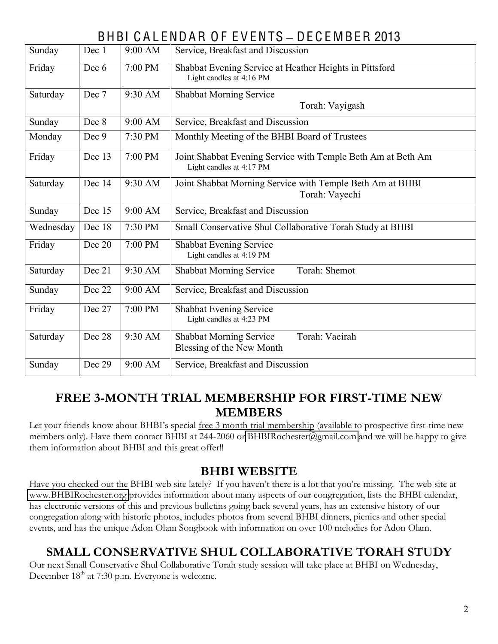# BHBI C A L ENDAR O F E V ENTS **±** DE C E MBER 2013

| Sunday    | Dec 1  | 9:00 AM | Service, Breakfast and Discussion                                                        |  |  |  |  |
|-----------|--------|---------|------------------------------------------------------------------------------------------|--|--|--|--|
| Friday    | Dec 6  | 7:00 PM | Shabbat Evening Service at Heather Heights in Pittsford<br>Light candles at 4:16 PM      |  |  |  |  |
| Saturday  | Dec 7  | 9:30 AM | <b>Shabbat Morning Service</b><br>Torah: Vayigash                                        |  |  |  |  |
| Sunday    | Dec 8  | 9:00 AM | Service, Breakfast and Discussion                                                        |  |  |  |  |
| Monday    | Dec 9  | 7:30 PM | Monthly Meeting of the BHBI Board of Trustees                                            |  |  |  |  |
| Friday    | Dec 13 | 7:00 PM | Joint Shabbat Evening Service with Temple Beth Am at Beth Am<br>Light candles at 4:17 PM |  |  |  |  |
| Saturday  | Dec 14 | 9:30 AM | Joint Shabbat Morning Service with Temple Beth Am at BHBI<br>Torah: Vayechi              |  |  |  |  |
| Sunday    | Dec 15 | 9:00 AM | Service, Breakfast and Discussion                                                        |  |  |  |  |
| Wednesday | Dec 18 | 7:30 PM | Small Conservative Shul Collaborative Torah Study at BHBI                                |  |  |  |  |
| Friday    | Dec 20 | 7:00 PM | <b>Shabbat Evening Service</b><br>Light candles at 4:19 PM                               |  |  |  |  |
| Saturday  | Dec 21 | 9:30 AM | Torah: Shemot<br><b>Shabbat Morning Service</b>                                          |  |  |  |  |
| Sunday    | Dec 22 | 9:00 AM | Service, Breakfast and Discussion                                                        |  |  |  |  |
| Friday    | Dec 27 | 7:00 PM | Shabbat Evening Service<br>Light candles at 4:23 PM                                      |  |  |  |  |
| Saturday  | Dec 28 | 9:30 AM | Torah: Vaeirah<br><b>Shabbat Morning Service</b><br>Blessing of the New Month            |  |  |  |  |
| Sunday    | Dec 29 | 9:00 AM | Service, Breakfast and Discussion                                                        |  |  |  |  |
|           |        |         |                                                                                          |  |  |  |  |

#### **FREE 3-MONTH TRIAL MEMBERSHIP FOR FIRST-TIME NEW MEMBERS**

Let your friends know about BHBI's special free 3 month trial membership (available to prospective first-time new members only). Have them contact BHBI at 244-2060 or [BHBIRochester@gmail.com](mailto:BHBIRochester@gmail.com) and we will be happy to give them information about BHBI and this great offer!!

#### **BHBI WEBSITE**

Have you checked out the BHBI web site lately? If you haven't there is a lot that you're missing. The web site at [www.BHBIRochester.org](http://www.bhbirochester.org/) provides information about many aspects of our congregation, lists the BHBI calendar, has electronic versions of this and previous bulletins going back several years, has an extensive history of our congregation along with historic photos, includes photos from several BHBI dinners, picnics and other special events, and has the unique Adon Olam Songbook with information on over 100 melodies for Adon Olam.

# **SMALL CONSERVATIVE SHUL COLLABORATIVE TORAH STUDY**

Our next Small Conservative Shul Collaborative Torah study session will take place at BHBI on Wednesday, December 18<sup>th</sup> at 7:30 p.m. Everyone is welcome.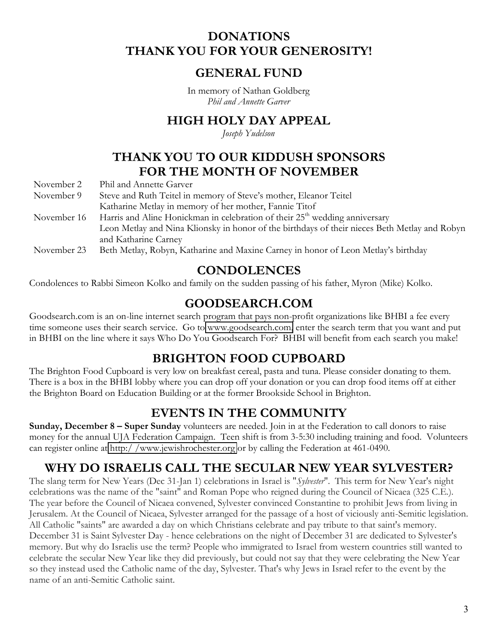## **DONATIONS THANK YOU FOR YOUR GENEROSITY!**

#### **GENERAL FUND**

In memory of Nathan Goldberg *Phil and Annette Garver*

## **HIGH HOLY DAY APPEAL**

*Joseph Yudelson*

# **THANK YOU TO OUR KIDDUSH SPONSORS FOR THE MONTH OF NOVEMBER**

November 2 Phil and Annette Garver

- November 9 Steve and Ruth Teitel in memory of Steve's mother, Eleanor Teitel Katharine Metlay in memory of her mother, Fannie Titof November 16 Harris and Aline Honickman in celebration of their 25<sup>th</sup> wedding anniversary Leon Metlay and Nina Klionsky in honor of the birthdays of their nieces Beth Metlay and Robyn and Katharine Carney
- November 23 Beth Metlay, Robyn, Katharine and Maxine Carney in honor of Leon Metlay's birthday

#### **CONDOLENCES**

Condolences to Rabbi Simeon Kolko and family on the sudden passing of his father, Myron (Mike) Kolko.

## **GOODSEARCH.COM**

Goodsearch.com is an on-line internet search program that pays non-profit organizations like BHBI a fee every time someone uses their search service. Go to [www.goodsearch.com,](http://www.goodsearch.com/) enter the search term that you want and put in BHBI on the line where it says Who Do You Goodsearch For? BHBI will benefit from each search you make!

# **BRIGHTON FOOD CUPBOARD**

The Brighton Food Cupboard is very low on breakfast cereal, pasta and tuna. Please consider donating to them. There is a box in the BHBI lobby where you can drop off your donation or you can drop food items off at either the Brighton Board on Education Building or at the former Brookside School in Brighton.

# **EVENTS IN THE COMMUNITY**

**Sunday, December 8 – Super Sunday** volunteers are needed. Join in at the Federation to call donors to raise money for the annual UJA Federation Campaign. Teen shift is from 3-5:30 including training and food. Volunteers can register online at [http:/ /www.jewishrochester.org](http://www.jewishrochester.org/page.aspx?id=265865) or by calling the Federation at 461-0490.

# **WHY DO ISRAELIS CALL THE SECULAR NEW YEAR SYLVESTER?**

The slang term for New Years (Dec 31-Jan 1) celebrations in Israel is "*Sylvester*". This term for New Year's night celebrations was the name of the "saint" and Roman Pope who reigned during the Council of Nicaea (325 C.E.). The year before the Council of Nicaea convened, Sylvester convinced Constantine to prohibit Jews from living in Jerusalem. At the Council of Nicaea, Sylvester arranged for the passage of a host of viciously anti-Semitic legislation. All Catholic "saints" are awarded a day on which Christians celebrate and pay tribute to that saint's memory. December 31 is Saint Sylvester Day - hence celebrations on the night of December 31 are dedicated to Sylvester's memory. But why do Israelis use the term? People who immigrated to Israel from western countries still wanted to celebrate the secular New Year like they did previously, but could not say that they were celebrating the New Year so they instead used the Catholic name of the day, Sylvester. That's why Jews in Israel refer to the event by the name of an anti-Semitic Catholic saint.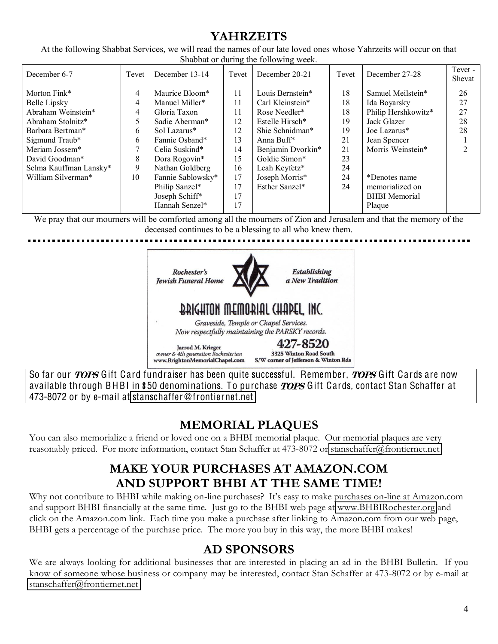# **YAHRZEITS**

At the following Shabbat Services, we will read the names of our late loved ones whose Yahrzeits will occur on that Shabbat or during the following week.

| December 6-7           | Tevet | December 13-14    | Tevet | December 20-21         | Tevet | December 27-28       | Tevet -<br>Shevat |
|------------------------|-------|-------------------|-------|------------------------|-------|----------------------|-------------------|
| Morton Fink*           | 4     | Maurice Bloom*    | 11    | Louis Bernstein*       | 18    | Samuel Meilstein*    | 26                |
| Belle Lipsky           | 4     | Manuel Miller*    | 11    | Carl Kleinstein*       | 18    | Ida Boyarsky         | 27                |
| Abraham Weinstein*     | 4     | Gloria Taxon      | 11    | Rose Needler*          | 18    | Philip Hershkowitz*  | 27                |
| Abraham Stolnitz*      |       | Sadie Aberman*    | 12    | Estelle Hirsch*        | 19    | Jack Glazer          | 28                |
| Barbara Bertman*       | 6     | Sol Lazarus*      | 12    | Shie Schnidman*        | 19    | Joe Lazarus*         | 28                |
| Sigmund Traub*         | 6     | Fannie Osband*    | 13    | Anna Buff <sup>*</sup> | 21    | Jean Spencer         |                   |
| Meriam Jossem*         |       | Celia Suskind*    | 14    | Benjamin Dvorkin*      | 21    | Morris Weinstein*    |                   |
| David Goodman*         | 8     | Dora Rogovin*     | 15    | Goldie Simon*          | 23    |                      |                   |
| Selma Kauffman Lansky* | 9     | Nathan Goldberg   | 16    | Leah Keyfetz*          | 24    |                      |                   |
| William Silverman*     | 10    | Fannie Sablowsky* | 17    | Joseph Morris*         | 24    | *Denotes name        |                   |
|                        |       | Philip Sanzel*    | 17    | Esther Sanzel*         | 24    | memorialized on      |                   |
|                        |       | Joseph Schiff*    | 17    |                        |       | <b>BHBI</b> Memorial |                   |
|                        |       | Hannah Senzel*    | 17    |                        |       | Plaque               |                   |

We pray that our mourners will be comforted among all the mourners of Zion and Jerusalem and that the memory of the deceased continues to be a blessing to all who knew them.



So far our *TOPS* Gift Card fundraiser has been quite successful. Remember, *TOPS* Gift Cards are now available through BHBI in \$50 denominations. To purchase *TOPS* Gift Cards, contact Stan Schaffer at 473-8072 or by e-mail at stanschaffe[r@fronti](mailto:stanschaffer@frontiernet.net)ernet.net

# **MEMORIAL PLAQUES**

You can also memorialize a friend or loved one on a BHBI memorial plaque. Our memorial plaques are very reasonably priced. For more information, contact Stan Schaffer at 473-8072 or [stanschaffer@frontiernet.net](mailto:stanschaffer@frontiernet.net)

# **MAKE YOUR PURCHASES AT AMAZON.COM AND SUPPORT BHBI AT THE SAME TIME!**

Why not contribute to BHBI while making on-line purchases? It's easy to make purchases on-line at Amazon.com and support BHBI financially at the same time. Just go to the BHBI web page at [www.BHBIRochester.org](http://www.bhbirochester.org/) and click on the Amazon.com link. Each time you make a purchase after linking to Amazon.com from our web page, BHBI gets a percentage of the purchase price. The more you buy in this way, the more BHBI makes!

## **AD SPONSORS**

We are always looking for additional businesses that are interested in placing an ad in the BHBI Bulletin. If you know of someone whose business or company may be interested, contact Stan Schaffer at 473-8072 or by e-mail at [stanschaffer@frontiernet.net](mailto:stanschaffer@frontiernet.net)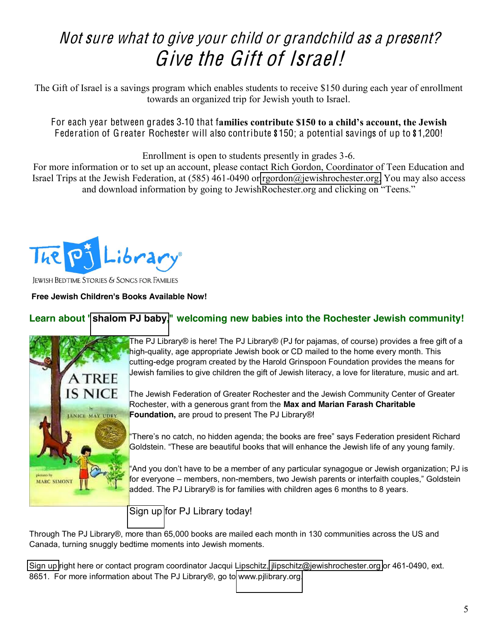# Not <sup>s</sup>ur<sup>e</sup> what t<sup>o</sup> giv<sup>e</sup> your <sup>c</sup>hild or grandchild <sup>a</sup><sup>s</sup> <sup>a</sup> present? Give the Gift of Israel!

The Gift of Israel is a savings program which enables students to receive \$150 during each year of enrollment towards an organized trip for Jewish youth to Israel.

For each vear between grades 3-10 that families contribute \$150 to a child's account, the Jewish Federation of Greater Rochester will also contribute \$150; a potential savings of up to \$1,200!

Enrollment is open to students presently in grades 3-6.

For more information or to set up an account, please contact Rich Gordon, Coordinator of Teen Education and Israel Trips at the Jewish Federation, at (585) 461-0490 or [rgordon@jewishrochester.org.](mailto:rgordon@jewishrochester.org) You may also access and download information by going to Jewish Rochester org and clicking on "Teens."



**JEWISH BEDTIME STORIES & SONGS FOR FAMILIES** 

#### **Free Jewish Children's Books Available Now!**

#### **Learn about ["shalom PJ baby,](http://www.jewishrochester.org/page.aspx?id=258251)" welcoming new babies into the Rochester Jewish community!**



The PJ Library® is here! The PJ Library® (PJ for pajamas, of course) provides a free gift of a high-quality, age appropriate Jewish book or CD mailed to the home every month. This cutting-edge program created by the Harold Grinspoon Foundation provides the means for Jewish families to give children the gift of Jewish literacy, a love for literature, music and art.

The Jewish Federation of Greater Rochester and the Jewish Community Center of Greater Rochester, with a generous grant from the **Max and Marian Farash Charitable Foundation,** are proud to present The PJ Library®!

'There's no catch, no hidden agenda; the books are free" says Federation president Richard Goldstein. "These are beautiful books that will enhance the Jewish life of any young family.

'And you don't have to be a member of any particular synagogue or Jewish organization; PJ is for everyone – members, non-members, two Jewish parents or interfaith couples," Goldstein added. The PJ Library® is for families with children ages 6 months to 8 years.

[Sign up](http://www.pjlibrary.org/communities/community-detail.aspx?id=199) for PJ Library today!

Through The PJ Library®, more than 65,000 books are mailed each month in 130 communities across the US and Canada, turning snuggly bedtime moments into Jewish moments.

[Sign up](http://www.pjlibrary.org/communities/community-detail.aspx?id=199) right here or contact program coordinator Jacqui Lipschitz, [jlipschitz@jewishrochester.org](mailto:jlipschitz@jewishrochester.org) or 461-0490, ext. 8651. For more information about The PJ Library®, go to [www.pjlibrary.org.](http://www.pjlibrary.org/)